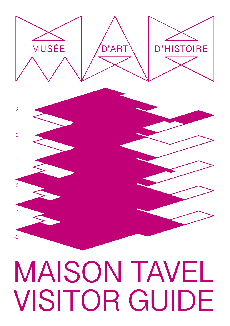# MAISON TAVEL VISITOR GUIDE

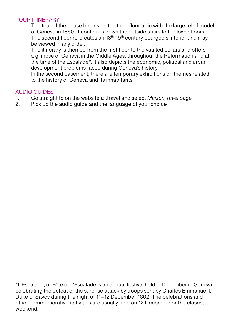### TOUR ITINERARY

The tour of the house begins on the third-floor attic with the large relief model of Geneva in 1850. It continues down the outside stairs to the lower floors. The second floor re-creates an  $18<sup>th</sup>$ -19<sup>th</sup> century bourgeois interior and may be viewed in any order.

The itinerary is themed from the first floor to the vaulted cellars and offers a glimpse of Geneva in the Middle Ages, throughout the Reformation and at the time of the Escalade\*. It also depicts the economic, political and urban development problems faced during Geneva's history.

In the second basement, there are temporary exhibitions on themes related to the history of Geneva and its inhabitants.

#### AUDIO GUIDES

- 1. Go straight to on the website izi.travel and select *Maison Tavel* page
- Pick up the audio quide and the language of your choice

\*L'Escalade, or Fête de l'Escalade is an annual festival held in December in Geneva, celebrating the defeat of the surprise attack by troops sent by Charles Emmanuel I, Duke of Savoy during the night of 11–12 December 1602. The celebrations and other commemorative activities are usually held on 12 December or the closest weekend.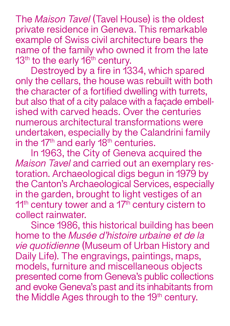The *Maison Tavel* (Tavel House) is the oldest private residence in Geneva. This remarkable example of Swiss civil architecture bears the name of the family who owned it from the late  $13<sup>th</sup>$  to the early  $16<sup>th</sup>$  century.

Destroyed by a fire in 1334, which spared only the cellars, the house was rebuilt with both the character of a fortified dwelling with turrets, but also that of a city palace with a façade embellished with carved heads. Over the centuries numerous architectural transformations were undertaken, especially by the Calandrini family in the 17<sup>th</sup> and early 18<sup>th</sup> centuries.

In 1963, the City of Geneva acquired the *Maison Tavel* and carried out an exemplary restoration. Archaeological digs begun in 1979 by the Canton's Archaeological Services, especially in the garden, brought to light vestiges of an 11<sup>th</sup> century tower and a 17<sup>th</sup> century cistern to collect rainwater.

Since 1986, this historical building has been home to the *Musée d'histoire urbaine et de la vie quotidienne* (Museum of Urban History and Daily Life). The engravings, paintings, maps, models, furniture and miscellaneous objects presented come from Geneva's public collections and evoke Geneva's past and its inhabitants from the Middle Ages through to the 19<sup>th</sup> century.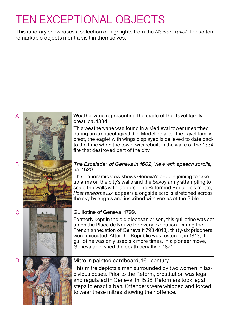## TEN EXCEPTIONAL OBJECTS

This itinerary showcases a selection of highlights from the *Maison Tavel*. These ten remarkable objects merit a visit in themselves.

#### Weathervane representing the eagle of the Tavel family crest, ca. 1334.

This weathervane was found in a Medieval tower unearthed during an archaeological dig. Modelled after the Tavel family crest, the eaglet with wings displayed is believed to date back to the time when the tower was rebuilt in the wake of the 1334 fire that destroyed part of the city.

#### *The Escalade\* of Geneva in 1602, View with speech scrolls*, ca. 1620.

This panoramic view shows Geneva's people joining to take up arms on the city's walls and the Savoy army attempting to scale the walls with ladders. The Reformed Republic's motto, *Post tenebras lux*, appears alongside scrolls stretched across the sky by angels and inscribed with verses of the Bible.



### Guillotine of Geneva, 1799.

Formerly kept in the old diocesan prison, this guillotine was set up on the Place de Neuve for every execution. During the French annexation of Geneva (1798-1813), thirty-six prisoners were executed. After the Republic was restored, in 1813, the guillotine was only used six more times. In a pioneer move, Geneva abolished the death penalty in 1871.



### Mitre in painted cardboard, 16<sup>th</sup> century.

This mitre depicts a man surrounded by two women in lascivious poses. Prior to the Reform, prostitution was legal and regulated in Geneva. In 1536, Reformers took legal steps to enact a ban. Offenders were whipped and forced to wear these mitres showing their offence.

B

C

 $\Box$ 

A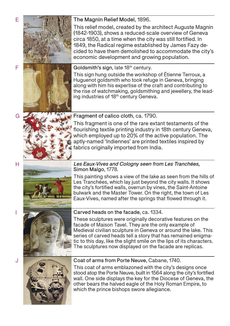





This relief model, created by the architect Auguste Magnin (1842-1903), shows a reduced-scale overview of Geneva circa 1850, at a time when the city was still fortified. In 1849, the Radical regime established by James Fazy decided to have them demolished to accommodate the city's economic development and growing population.

Goldsmith's sign, late 18<sup>th</sup> century.

This sign hung outside the workshop of Étienne Terroux, a Huguenot goldsmith who took refuge in Geneva, bringing along with him his expertise of the craft and contributing to the rise of watchmaking, goldsmithing and jewellery, the leading industries of 18<sup>th</sup> century Geneva.

Fragment of calico cloth, ca. 1790.

This fragment is one of the rare extant testaments of the flourishing textile printing industry in 18th century Geneva, which employed up to 20% of the active population. The aptly-named 'Indiennes' are printed textiles inspired by fabrics originally imported from India.

#### *Les Eaux-Vives and Cologny seen from Les Tranchées*, Simon Malgo, 1778.

This painting shows a view of the lake as seen from the hills of Les Tranchées, which lay just beyond the city walls. It shows the city's fortified walls, overrun by vines, the Saint-Antoine bulwark and the Master Tower. On the right, the town of Les Eaux-Vives, named after the springs that flowed through it.

### Carved heads on the facade, ca. 1334.

These sculptures were originally decorative features on the facade of Maison Tavel. They are the only example of Medieval civilian sculpture in Geneva or around the lake. This series of carved heads tell a story that has remained enigmatic to this day, like the slight smile on the lips of its characters. The sculptures now displayed on the facade are replicas.



Coat of arms from Porte Neuve, Cabane, 1740.

This coat of arms emblazoned with the city's designs once stood atop the Porte Neuve, built in 1564 along the city's fortified wall. One side displays the key for the Diocese of Geneva, the other bears the halved eagle of the Holy Roman Empire, to which the prince bishops swore allegiance.

F

G

H

I

J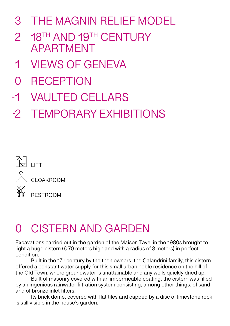- THE MAGNIN RELIEF MODEL 3
- 18TH AND 19TH CENTURY APARTMENT 2
- VIEWS OF GENEVA 1
- **RECEPTION**  $\Omega$
- VAULTED CELLARS -1
- TEMPORARY EXHIBITIONS -2



### 0 CISTERN AND GARDEN

Excavations carried out in the garden of the Maison Tavel in the 1980s brought to light a huge cistern (6.70 meters high and with a radius of 3 meters) in perfect condition.

Built in the  $17<sup>th</sup>$  century by the then owners, the Calandrini family, this cistern offered a constant water supply for this small urban noble residence on the hill of the Old Town, where groundwater is unattainable and any wells quickly dried up.

Built of masonry covered with an impermeable coating, the cistern was filled by an ingenious rainwater filtration system consisting, among other things, of sand and of bronze inlet filters.

Its brick dome, covered with flat tiles and capped by a disc of limestone rock, is still visible in the house's garden.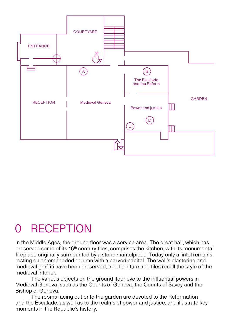

### 0 RECEPTION

In the Middle Ages, the ground floor was a service area. The great hall, which has preserved some of its 16th century tiles, comprises the kitchen, with its monumental fireplace originally surmounted by a stone mantelpiece. Today only a lintel remains, resting on an embedded column with a carved capital. The wall's plastering and medieval graffiti have been preserved, and furniture and tiles recall the style of the medieval interior.

The various objects on the ground floor evoke the influential powers in Medieval Geneva, such as the Counts of Geneva, the Counts of Savoy and the Bishop of Geneva.

The rooms facing out onto the garden are devoted to the Reformation and the Escalade, as well as to the realms of power and justice, and illustrate key moments in the Republic's history.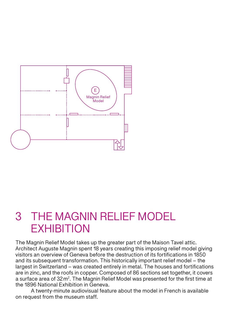

### 3 THE MAGNIN RELIEF MODEL **EXHIBITION**

The Magnin Relief Model takes up the greater part of the Maison Tavel attic. Architect Auguste Magnin spent 18 years creating this imposing relief model giving visitors an overview of Geneva before the destruction of its fortifications in 1850 and its subsequent transformation. This historically important relief model – the largest in Switzerland – was created entirely in metal. The houses and fortifications are in zinc, and the roofs in copper. Composed of 86 sections set together, it covers a surface area of 32m<sup>2</sup>. The Magnin Relief Model was presented for the first time at the 1896 National Exhibition in Geneva.

A twenty-minute audiovisual feature about the model in French is available on request from the museum staff.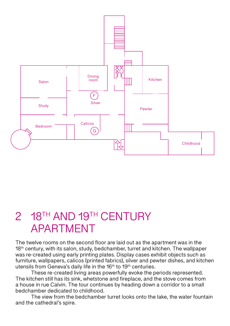

### 2 18<sup>TH</sup> AND 19TH CENTURY APARTMENT

The twelve rooms on the second floor are laid out as the apartment was in the 18<sup>th</sup> century, with its salon, study, bedchamber, turret and kitchen. The wallpaper was re-created using early printing plates. Display cases exhibit objects such as furniture, wallpapers, calicos (printed fabrics), silver and pewter dishes, and kitchen utensils from Geneva's daily life in the 16<sup>th</sup> to 19<sup>th</sup> centuries.

These re-created living areas powerfully evoke the periods represented. The kitchen still has its sink, whetstone and fireplace, and the stove comes from a house in rue Calvin. The tour continues by heading down a corridor to a small bedchamber dedicated to childhood.

The view from the bedchamber turret looks onto the lake, the water fountain and the cathedral's spire.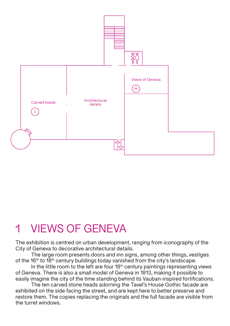

### 1 VIEWS OF GENEVA

The exhibition is centred on urban development, ranging from iconography of the City of Geneva to decorative architectural details.

The large room presents doors and inn signs, among other things, vestiges of the 16<sup>th</sup> to 18<sup>th</sup> century buildings today vanished from the city's landscape.

In the little room to the left are four  $18<sup>th</sup>$  century paintings representing views of Geneva. There is also a small model of Geneva in 1813, making it possible to easily imagine the city of the time standing behind its Vauban-inspired fortifications.

The ten carved stone heads adorning the Tavel's House Gothic facade are exhibited on the side facing the street, and are kept here to better preserve and restore them. The copies replacing the originals and the full facade are visible from the turret windows.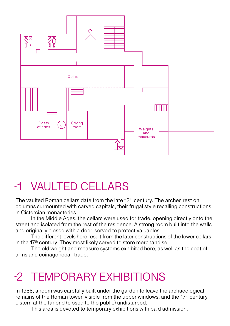

### -1 VAULTED CELLARS

The vaulted Roman cellars date from the late 12<sup>th</sup> century. The arches rest on columns surmounted with carved capitals, their frugal style recalling constructions in Cistercian monasteries.

In the Middle Ages, the cellars were used for trade, opening directly onto the street and isolated from the rest of the residence. A strong room built into the walls and originally closed with a door, served to protect valuables.

The different levels here result from the later constructions of the lower cellars in the  $17<sup>th</sup>$  century. They most likely served to store merchandise.

The old weight and measure systems exhibited here, as well as the coat of arms and coinage recall trade.

## -2 TEMPORARY EXHIBITIONS

In 1988, a room was carefully built under the garden to leave the archaeological remains of the Roman tower, visible from the upper windows, and the  $17<sup>th</sup>$  century cistern at the far end (closed to the public) undisturbed.

This area is devoted to temporary exhibitions with paid admission.